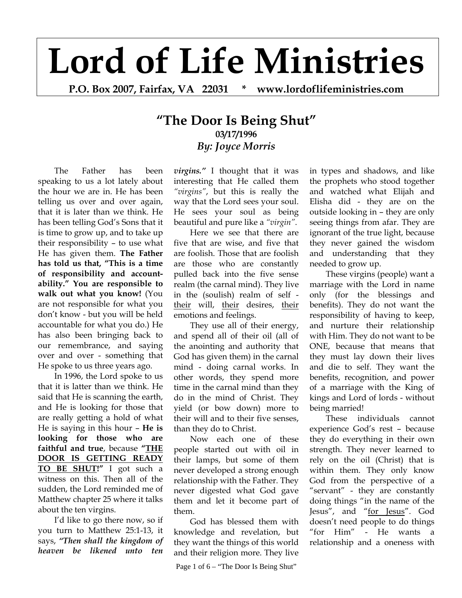## **Lord of Life Ministries**

**P.O. Box 2007, Fairfax, VA 22031 \* www.lordoflifeministries.com** 

## **"The Door Is Being Shut" 03/17/1996** *By: Joyce Morris*

 The Father has been speaking to us a lot lately about the hour we are in. He has been telling us over and over again, that it is later than we think. He has been telling God's Sons that it is time to grow up, and to take up their responsibility – to use what He has given them. **The Father has told us that, "This is a time of responsibility and accountability." You are responsible to walk out what you know!** (You are not responsible for what you don't know - but you will be held accountable for what you do.) He has also been bringing back to our remembrance, and saying over and over - something that He spoke to us three years ago.

 In 1996, the Lord spoke to us that it is latter than we think. He said that He is scanning the earth, and He is looking for those that are really getting a hold of what He is saying in this hour – **He is looking for those who are faithful and true**, because **"THE DOOR IS GETTING READY TO BE SHUT!"** I got such a witness on this. Then all of the sudden, the Lord reminded me of Matthew chapter 25 where it talks about the ten virgins.

I'd like to go there now, so if you turn to Matthew 25:1-13, it says, *"Then shall the kingdom of heaven be likened unto ten* 

*virgins."* I thought that it was interesting that He called them *"virgins"*, but this is really the way that the Lord sees your soul. He sees your soul as being beautiful and pure like a *"virgin"*.

Here we see that there are five that are wise, and five that are foolish. Those that are foolish are those who are constantly pulled back into the five sense realm (the carnal mind). They live in the (soulish) realm of self their will, their desires, their emotions and feelings.

They use all of their energy, and spend all of their oil (all of the anointing and authority that God has given them) in the carnal mind - doing carnal works. In other words, they spend more time in the carnal mind than they do in the mind of Christ. They yield (or bow down) more to their will and to their five senses, than they do to Christ.

Now each one of these people started out with oil in their lamps, but some of them never developed a strong enough relationship with the Father. They never digested what God gave them and let it become part of them.

God has blessed them with knowledge and revelation, but they want the things of this world and their religion more. They live

Page 1 of  $6 -$  "The Door Is Being Shut"

in types and shadows, and like the prophets who stood together and watched what Elijah and Elisha did - they are on the outside looking in – they are only seeing things from afar. They are ignorant of the true light, because they never gained the wisdom and understanding that they needed to grow up.

These virgins (people) want a marriage with the Lord in name only (for the blessings and benefits). They do not want the responsibility of having to keep, and nurture their relationship with Him. They do not want to be ONE, because that means that they must lay down their lives and die to self. They want the benefits, recognition, and power of a marriage with the King of kings and Lord of lords - without being married!

These individuals cannot experience God's rest – because they do everything in their own strength. They never learned to rely on the oil (Christ) that is within them. They only know God from the perspective of a "servant" - they are constantly doing things "in the name of the Jesus", and "for Jesus". God doesn't need people to do things "for Him" - He wants a relationship and a oneness with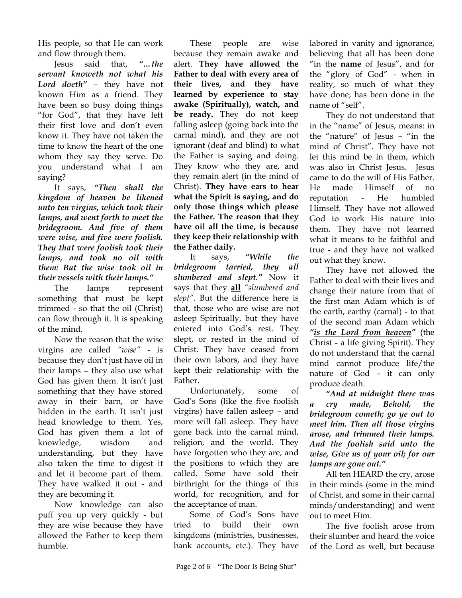His people, so that He can work and flow through them.

Jesus said that, *"…the servant knoweth not what his Lord doeth"* – they have not known Him as a friend. They have been so busy doing things "for God", that they have left their first love and don't even know it. They have not taken the time to know the heart of the one whom they say they serve. Do you understand what I am saying?

It says, *"Then shall the kingdom of heaven be likened unto ten virgins, which took their lamps, and went forth to meet the bridegroom. And five of them were wise, and five were foolish. They that were foolish took their lamps, and took no oil with them: But the wise took oil in their vessels with their lamps."*

The lamps represent something that must be kept trimmed - so that the oil (Christ) can flow through it. It is speaking of the mind.

Now the reason that the wise virgins are called *"wise"* - is because they don't just have oil in their lamps – they also use what God has given them. It isn't just something that they have stored away in their barn, or have hidden in the earth. It isn't just head knowledge to them. Yes, God has given them a lot of knowledge, wisdom and understanding, but they have also taken the time to digest it and let it become part of them. They have walked it out - and they are becoming it.

Now knowledge can also puff you up very quickly - but they are wise because they have allowed the Father to keep them humble.

These people are wise because they remain awake and alert. **They have allowed the Father to deal with every area of their lives, and they have learned by experience to stay awake (Spiritually), watch, and be ready.** They do not keep falling asleep (going back into the carnal mind), and they are not ignorant (deaf and blind) to what the Father is saying and doing. They know who they are, and they remain alert (in the mind of Christ). **They have ears to hear what the Spirit is saying, and do only those things which please the Father. The reason that they have oil all the time, is because they keep their relationship with the Father daily.**

It says, *"While the bridegroom tarried, they all slumbered and slept."* Now it says that they **all** *"slumbered and slept"*. But the difference here is that, those who are wise are not asleep Spiritually, but they have entered into God's rest. They slept, or rested in the mind of Christ. They have ceased from their own labors, and they have kept their relationship with the Father.

Unfortunately, some of God's Sons (like the five foolish virgins) have fallen asleep – and more will fall asleep. They have gone back into the carnal mind, religion, and the world. They have forgotten who they are, and the positions to which they are called. Some have sold their birthright for the things of this world, for recognition, and for the acceptance of man.

Some of God's Sons have tried to build their own kingdoms (ministries, businesses, bank accounts, etc.). They have labored in vanity and ignorance, believing that all has been done "in the **name** of Jesus", and for the "glory of God" - when in reality, so much of what they have done, has been done in the name of "self".

They do not understand that in the "name" of Jesus, means: in the "nature" of Jesus – "in the mind of Christ". They have not let this mind be in them, which was also in Christ Jesus. Jesus came to do the will of His Father. He made Himself of no reputation - He humbled Himself. They have not allowed God to work His nature into them. They have not learned what it means to be faithful and true - and they have not walked out what they know.

They have not allowed the Father to deal with their lives and change their nature from that of the first man Adam which is of the earth, earthy (carnal) - to that of the second man Adam which *"is the Lord from heaven"* (the Christ - a life giving Spirit). They do not understand that the carnal mind cannot produce life/the nature of God – it can only produce death.

*"And at midnight there was a cry made, Behold, the bridegroom cometh; go ye out to meet him. Then all those virgins arose, and trimmed their lamps. And the foolish said unto the wise, Give us of your oil; for our lamps are gone out."* 

All ten HEARD the cry, arose in their minds (some in the mind of Christ, and some in their carnal minds/understanding) and went out to meet Him.

The five foolish arose from their slumber and heard the voice of the Lord as well, but because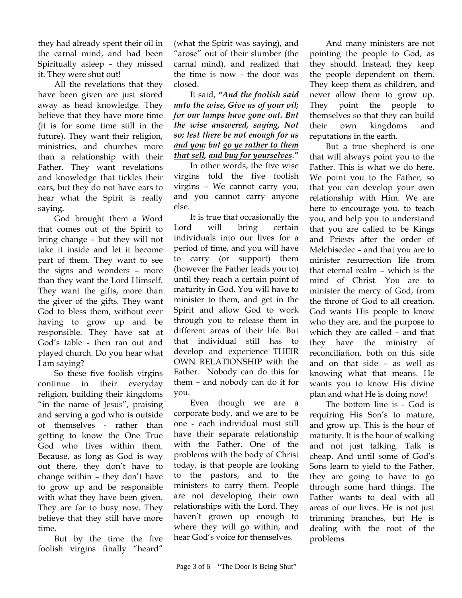they had already spent their oil in the carnal mind, and had been Spiritually asleep – they missed it. They were shut out!

All the revelations that they have been given are just stored away as head knowledge. They believe that they have more time (it is for some time still in the future). They want their religion, ministries, and churches more than a relationship with their Father. They want revelations and knowledge that tickles their ears, but they do not have ears to hear what the Spirit is really saying.

God brought them a Word that comes out of the Spirit to bring change – but they will not take it inside and let it become part of them. They want to see the signs and wonders – more than they want the Lord Himself. They want the gifts, more than the giver of the gifts. They want God to bless them, without ever having to grow up and be responsible. They have sat at God's table - then ran out and played church. Do you hear what I am saying?

So these five foolish virgins continue in their everyday religion, building their kingdoms "in the name of Jesus", praising and serving a god who is outside of themselves - rather than getting to know the One True God who lives within them. Because, as long as God is way out there, they don't have to change within – they don't have to grow up and be responsible with what they have been given. They are far to busy now. They believe that they still have more time.

But by the time the five foolish virgins finally "heard"

(what the Spirit was saying), and "arose" out of their slumber (the carnal mind), and realized that the time is now - the door was closed.

It said, *"And the foolish said unto the wise, Give us of your oil; for our lamps have gone out. But the wise answered, saying, Not so; lest there be not enough for us and you: but go ye rather to them that sell, and buy for yourselves*.*"*

In other words, the five wise virgins told the five foolish virgins – We cannot carry you, and you cannot carry anyone else.

It is true that occasionally the Lord will bring certain individuals into our lives for a period of time, and you will have to carry (or support) them (however the Father leads you to) until they reach a certain point of maturity in God. You will have to minister to them, and get in the Spirit and allow God to work through you to release them in different areas of their life. But that individual still has to develop and experience THEIR OWN RELATIONSHIP with the Father. Nobody can do this for them – and nobody can do it for you.

Even though we are a corporate body, and we are to be one - each individual must still have their separate relationship with the Father. One of the problems with the body of Christ today, is that people are looking to the pastors, and to the ministers to carry them. People are not developing their own relationships with the Lord. They haven't grown up enough to where they will go within, and hear God's voice for themselves.

And many ministers are not pointing the people to God, as they should. Instead, they keep the people dependent on them. They keep them as children, and never allow them to grow up. They point the people to themselves so that they can build their own kingdoms and reputations in the earth.

But a true shepherd is one that will always point you to the Father. This is what we do here. We point you to the Father, so that you can develop your own relationship with Him. We are here to encourage you, to teach you, and help you to understand that you are called to be Kings and Priests after the order of Melchisedec – and that you are to minister resurrection life from that eternal realm – which is the mind of Christ. You are to minister the mercy of God, from the throne of God to all creation. God wants His people to know who they are, and the purpose to which they are called – and that they have the ministry of reconciliation, both on this side and on that side – as well as knowing what that means. He wants you to know His divine plan and what He is doing now!

The bottom line is - God is requiring His Son's to mature, and grow up. This is the hour of maturity. It is the hour of walking and not just talking. Talk is cheap. And until some of God's Sons learn to yield to the Father, they are going to have to go through some hard things. The Father wants to deal with all areas of our lives. He is not just trimming branches, but He is dealing with the root of the problems.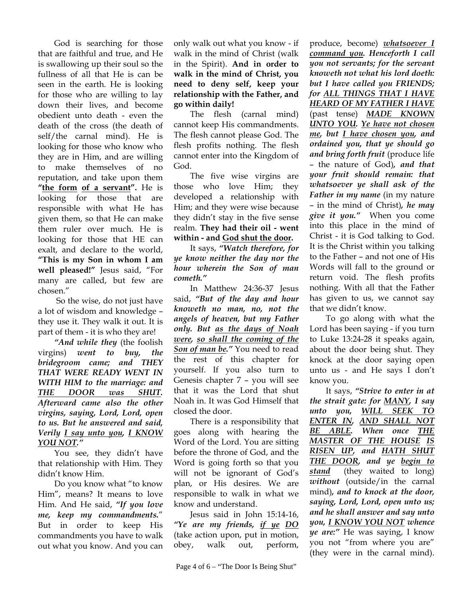God is searching for those that are faithful and true, and He is swallowing up their soul so the fullness of all that He is can be seen in the earth. He is looking for those who are willing to lay down their lives, and become obedient unto death - even the death of the cross (the death of self/the carnal mind). He is looking for those who know who they are in Him, and are willing to make themselves of no reputation, and take upon them **"the form of a servant".** He is looking for those that are responsible with what He has given them, so that He can make them ruler over much. He is looking for those that HE can exalt, and declare to the world, **"This is my Son in whom I am well pleased!"** Jesus said, "For many are called, but few are chosen."

 So the wise, do not just have a lot of wisdom and knowledge – they use it. They walk it out. It is part of them - it is who they are!

*"And while they* (the foolish virgins) *went to buy, the bridegroom came; and THEY THAT WERE READY WENT IN WITH HIM to the marriage: and THE DOOR was SHUT. Afterward came also the other virgins, saying, Lord, Lord, open to us. But he answered and said, Verily I say unto you, I KNOW YOU NOT."* 

You see, they didn't have that relationship with Him. They didn't know Him.

Do you know what "to know Him", means? It means to love Him. And He said, *"If you love me, keep my commandments.*" But in order to keep His commandments you have to walk out what you know. And you can

only walk out what you know - if walk in the mind of Christ (walk in the Spirit). **And in order to walk in the mind of Christ, you need to deny self, keep your relationship with the Father, and go within daily!**

The flesh (carnal mind) cannot keep His commandments. The flesh cannot please God. The flesh profits nothing. The flesh cannot enter into the Kingdom of God.

The five wise virgins are those who love Him; they developed a relationship with Him; and they were wise because they didn't stay in the five sense realm. **They had their oil - went within - and God shut the door.**

It says, *"Watch therefore, for ye know neither the day nor the hour wherein the Son of man cometh."*

In Matthew 24:36-37 Jesus said, *"But of the day and hour knoweth no man, no, not the angels of heaven, but my Father only. But as the days of Noah were, so shall the coming of the Son of man be."* You need to read the rest of this chapter for yourself. If you also turn to Genesis chapter 7 – you will see that it was the Lord that shut Noah in. It was God Himself that closed the door.

There is a responsibility that goes along with hearing the Word of the Lord. You are sitting before the throne of God, and the Word is going forth so that you will not be ignorant of God's plan, or His desires. We are responsible to walk in what we know and understand.

Jesus said in John 15:14-16, *"Ye are my friends, if ye DO*  (take action upon, put in motion, obey, walk out, perform,

produce, become) *whatsoever I command you. Henceforth I call you not servants; for the servant knoweth not what his lord doeth: but I have called you FRIENDS; for ALL THINGS THAT I HAVE HEARD OF MY FATHER I HAVE* (past tense) *MADE KNOWN UNTO YOU. Ye have not chosen me, but I have chosen you, and ordained you, that ye should go and bring forth fruit* (produce life – the nature of God)*, and that your fruit should remain: that whatsoever ye shall ask of the Father in my name* (in my nature – in the mind of Christ)*, he may give it you."* When you come into this place in the mind of Christ - it is God talking to God. It is the Christ within you talking to the Father – and not one of His Words will fall to the ground or return void. The flesh profits nothing. With all that the Father has given to us, we cannot say that we didn't know.

To go along with what the Lord has been saying - if you turn to Luke 13:24-28 it speaks again, about the door being shut. They knock at the door saying open unto us - and He says I don't know you.

It says, *"Strive to enter in at the strait gate: for MANY, I say unto you, WILL SEEK TO ENTER IN, AND SHALL NOT BE ABLE. When once THE MASTER OF THE HOUSE IS RISEN UP, and HATH SHUT THE DOOR, and ye begin to stand* (they waited to long) *without* (outside/in the carnal mind)*, and to knock at the door, saying, Lord, Lord, open unto us; and he shall answer and say unto you, I KNOW YOU NOT whence ye are:"* He was saying, I know you not "from where you are" (they were in the carnal mind).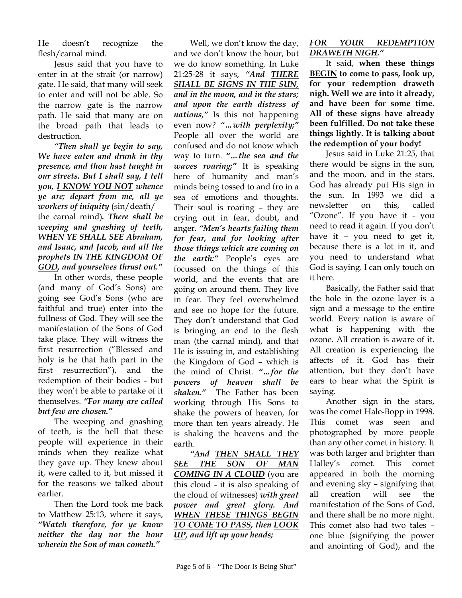He doesn't recognize the flesh/carnal mind.

Jesus said that you have to enter in at the strait (or narrow) gate. He said, that many will seek to enter and will not be able. So the narrow gate is the narrow path. He said that many are on the broad path that leads to destruction.

*"Then shall ye begin to say, We have eaten and drunk in thy presence, and thou hast taught in our streets. But I shall say, I tell you, I KNOW YOU NOT whence ye are; depart from me, all ye workers of iniquity* (sin/death/ the carnal mind)*. There shall be weeping and gnashing of teeth, WHEN YE SHALL SEE Abraham, and Isaac, and Jacob, and all the prophets IN THE KINGDOM OF GOD, and yourselves thrust out."* 

In other words, these people (and many of God's Sons) are going see God's Sons (who are faithful and true) enter into the fullness of God. They will see the manifestation of the Sons of God take place. They will witness the first resurrection ("Blessed and holy is he that hath part in the first resurrection"), and the redemption of their bodies - but they won't be able to partake of it themselves. *"For many are called but few are chosen."*

The weeping and gnashing of teeth, is the hell that these people will experience in their minds when they realize what they gave up. They knew about it, were called to it, but missed it for the reasons we talked about earlier.

Then the Lord took me back to Matthew 25:13, where it says, *"Watch therefore, for ye know neither the day nor the hour wherein the Son of man cometh."*

Well, we don't know the day, and we don't know the hour, but we do know something. In Luke 21:25-28 it says, *"And THERE SHALL BE SIGNS IN THE SUN, and in the moon, and in the stars; and upon the earth distress of nations,"* Is this not happening even now? *"…with perplexity;"*  People all over the world are confused and do not know which way to turn. *"…the sea and the waves roaring;"* It is speaking here of humanity and man's minds being tossed to and fro in a sea of emotions and thoughts. Their soul is roaring – they are crying out in fear, doubt, and anger. *"Men's hearts failing them for fear, and for looking after those things which are coming on the earth:"* People's eyes are focussed on the things of this world, and the events that are going on around them. They live in fear. They feel overwhelmed and see no hope for the future. They don't understand that God is bringing an end to the flesh man (the carnal mind), and that He is issuing in, and establishing the Kingdom of God – which is the mind of Christ. *"…for the powers of heaven shall be shaken."* The Father has been working through His Sons to shake the powers of heaven, for more than ten years already. He is shaking the heavens and the earth.

*"And THEN SHALL THEY SEE THE SON OF MAN COMING IN A CLOUD* (you are this cloud - it is also speaking of the cloud of witnesses) *with great power and great glory. And WHEN THESE THINGS BEGIN TO COME TO PASS, then LOOK UP, and lift up your heads;* 

## *FOR YOUR REDEMPTION DRAWETH NIGH."*

It said, **when these things BEGIN to come to pass, look up, for your redemption draweth nigh. Well we are into it already, and have been for some time. All of these signs have already been fulfilled. Do not take these things lightly. It is talking about the redemption of your body!**

Jesus said in Luke 21:25, that there would be signs in the sun, and the moon, and in the stars. God has already put His sign in the sun. In 1993 we did a newsletter on this, called "Ozone". If you have it - you need to read it again. If you don't have it – you need to get it, because there is a lot in it, and you need to understand what God is saying. I can only touch on it here.

Basically, the Father said that the hole in the ozone layer is a sign and a message to the entire world. Every nation is aware of what is happening with the ozone. All creation is aware of it. All creation is experiencing the affects of it. God has their attention, but they don't have ears to hear what the Spirit is saying.

Another sign in the stars, was the comet Hale-Bopp in 1998. This comet was seen and photographed by more people than any other comet in history. It was both larger and brighter than Halley's comet. This comet appeared in both the morning and evening sky – signifying that all creation will see the manifestation of the Sons of God, and there shall be no more night. This comet also had two tales – one blue (signifying the power and anointing of God), and the